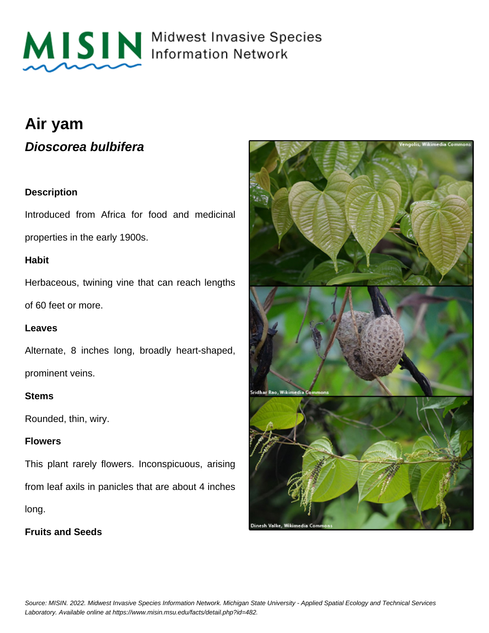

MISIN Midwest Invasive Species

# **Air yam Dioscorea bulbifera**

# **Description**

Introduced from Africa for food and medicinal properties in the early 1900s.

### **Habit**

Herbaceous, twining vine that can reach lengths of 60 feet or more.

### **Leaves**

Alternate, 8 inches long, broadly heart-shaped, prominent veins.

#### **Stems**

Rounded, thin, wiry.

### **Flowers**

This plant rarely flowers. Inconspicuous, arising from leaf axils in panicles that are about 4 inches long.

**Fruits and Seeds**